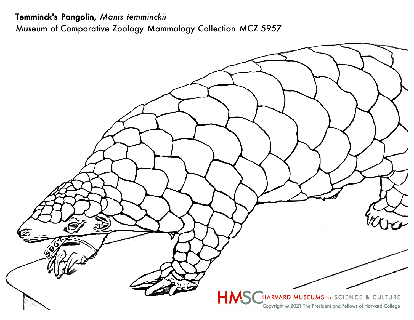## Temminck's Pangolin, *Manis temminckii* Museum of Comparative Zoology Mammalogy Collection MCZ 5957